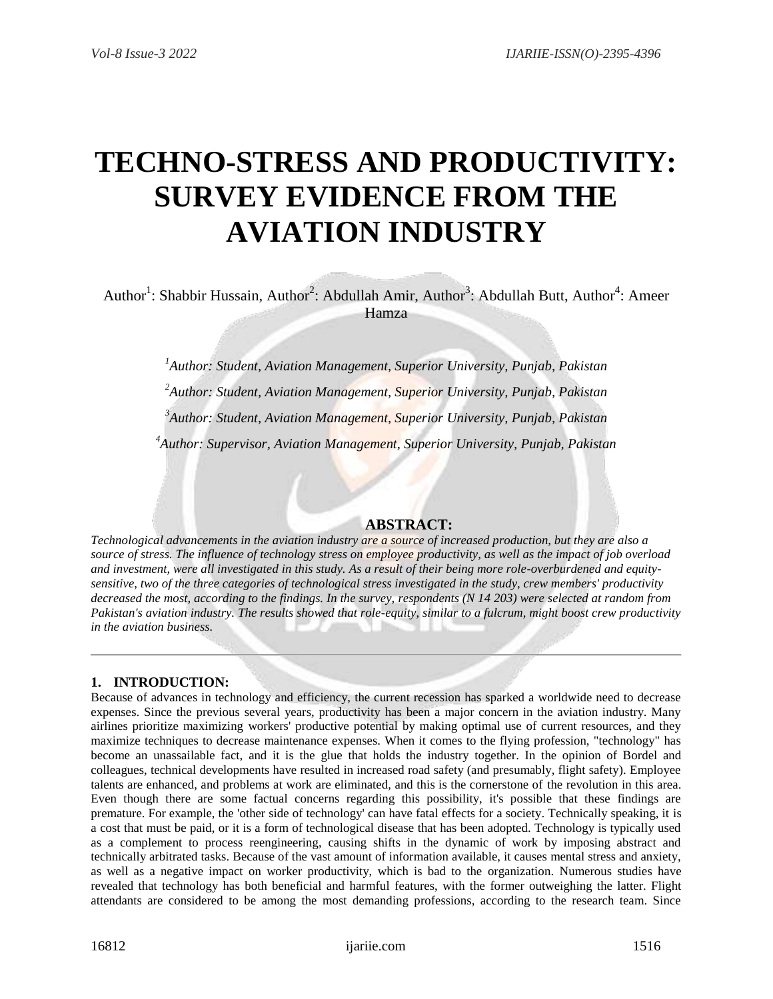# **TECHNO-STRESS AND PRODUCTIVITY: SURVEY EVIDENCE FROM THE AVIATION INDUSTRY**

Author<sup>1</sup>: Shabbir Hussain, Author<sup>2</sup>: Abdullah Amir, Author<sup>3</sup>: Abdullah Butt, Author<sup>4</sup>: Ameer Hamza

*Author: Student, Aviation Management, Superior University, Punjab, Pakistan Author: Student, Aviation Management, Superior University, Punjab, Pakistan Author: Student, Aviation Management, Superior University, Punjab, Pakistan Author: Supervisor, Aviation Management, Superior University, Punjab, Pakistan*

# **ABSTRACT:**

*Technological advancements in the aviation industry are a source of increased production, but they are also a source of stress. The influence of technology stress on employee productivity, as well as the impact of job overload and investment, were all investigated in this study. As a result of their being more role-overburdened and equitysensitive, two of the three categories of technological stress investigated in the study, crew members' productivity decreased the most, according to the findings. In the survey, respondents (N 14 203) were selected at random from Pakistan's aviation industry. The results showed that role-equity, similar to a fulcrum, might boost crew productivity in the aviation business.*

## **1. INTRODUCTION:**

Because of advances in technology and efficiency, the current recession has sparked a worldwide need to decrease expenses. Since the previous several years, productivity has been a major concern in the aviation industry. Many airlines prioritize maximizing workers' productive potential by making optimal use of current resources, and they maximize techniques to decrease maintenance expenses. When it comes to the flying profession, "technology" has become an unassailable fact, and it is the glue that holds the industry together. In the opinion of Bordel and colleagues, technical developments have resulted in increased road safety (and presumably, flight safety). Employee talents are enhanced, and problems at work are eliminated, and this is the cornerstone of the revolution in this area. Even though there are some factual concerns regarding this possibility, it's possible that these findings are premature. For example, the 'other side of technology' can have fatal effects for a society. Technically speaking, it is a cost that must be paid, or it is a form of technological disease that has been adopted. Technology is typically used as a complement to process reengineering, causing shifts in the dynamic of work by imposing abstract and technically arbitrated tasks. Because of the vast amount of information available, it causes mental stress and anxiety, as well as a negative impact on worker productivity, which is bad to the organization. Numerous studies have revealed that technology has both beneficial and harmful features, with the former outweighing the latter. Flight attendants are considered to be among the most demanding professions, according to the research team. Since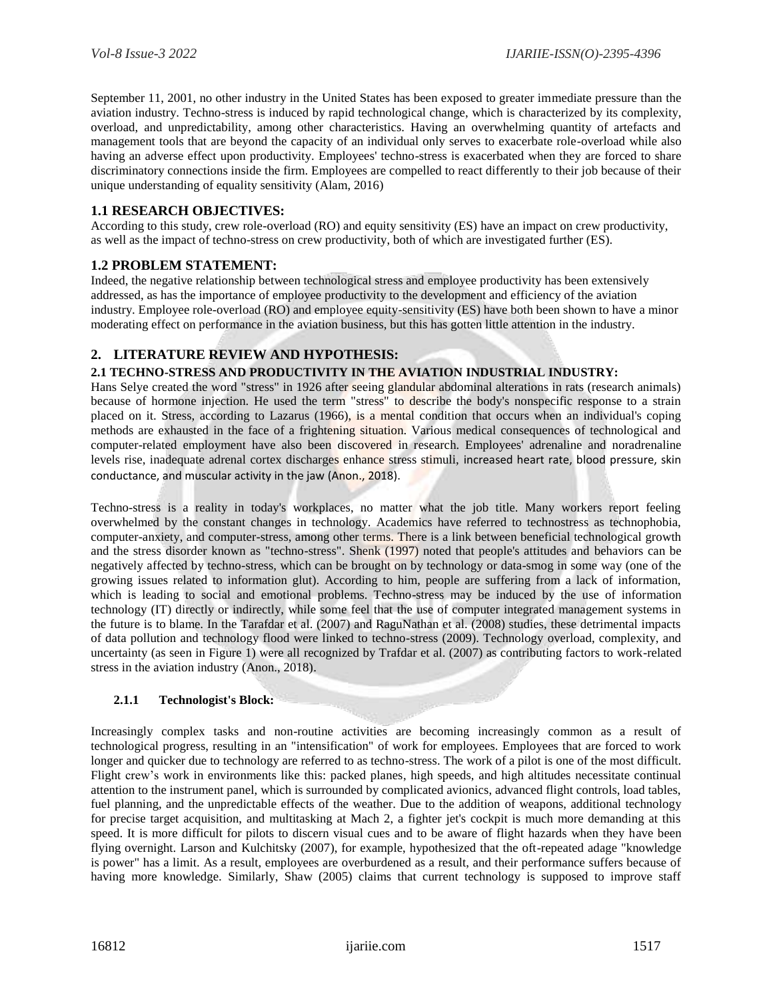September 11, 2001, no other industry in the United States has been exposed to greater immediate pressure than the aviation industry. Techno-stress is induced by rapid technological change, which is characterized by its complexity, overload, and unpredictability, among other characteristics. Having an overwhelming quantity of artefacts and management tools that are beyond the capacity of an individual only serves to exacerbate role-overload while also having an adverse effect upon productivity. Employees' techno-stress is exacerbated when they are forced to share discriminatory connections inside the firm. Employees are compelled to react differently to their job because of their unique understanding of equality sensitivity (Alam, 2016)

## **1.1 RESEARCH OBJECTIVES:**

According to this study, crew role-overload (RO) and equity sensitivity (ES) have an impact on crew productivity, as well as the impact of techno-stress on crew productivity, both of which are investigated further (ES).

## **1.2 PROBLEM STATEMENT:**

Indeed, the negative relationship between technological stress and employee productivity has been extensively addressed, as has the importance of employee productivity to the development and efficiency of the aviation industry. Employee role-overload (RO) and employee equity-sensitivity (ES) have both been shown to have a minor moderating effect on performance in the aviation business, but this has gotten little attention in the industry.

## **2. LITERATURE REVIEW AND HYPOTHESIS:**

### **2.1 TECHNO-STRESS AND PRODUCTIVITY IN THE AVIATION INDUSTRIAL INDUSTRY:**

Hans Selye created the word "stress" in 1926 after seeing glandular abdominal alterations in rats (research animals) because of hormone injection. He used the term "stress" to describe the body's nonspecific response to a strain placed on it. Stress, according to Lazarus (1966), is a mental condition that occurs when an individual's coping methods are exhausted in the face of a frightening situation. Various medical consequences of technological and computer-related employment have also been discovered in research. Employees' adrenaline and noradrenaline levels rise, inadequate adrenal cortex discharges enhance stress stimuli, increased heart rate, blood pressure, skin conductance, and muscular activity in the jaw (Anon., 2018).

Techno-stress is a reality in today's workplaces, no matter what the job title. Many workers report feeling overwhelmed by the constant changes in technology. Academics have referred to technostress as technophobia, computer-anxiety, and computer-stress, among other terms. There is a link between beneficial technological growth and the stress disorder known as "techno-stress". Shenk (1997) noted that people's attitudes and behaviors can be negatively affected by techno-stress, which can be brought on by technology or data-smog in some way (one of the growing issues related to information glut). According to him, people are suffering from a lack of information, which is leading to social and emotional problems. Techno-stress may be induced by the use of information technology (IT) directly or indirectly, while some feel that the use of computer integrated management systems in the future is to blame. In the Tarafdar et al. (2007) and RaguNathan et al. (2008) studies, these detrimental impacts of data pollution and technology flood were linked to techno-stress (2009). Technology overload, complexity, and uncertainty (as seen in Figure 1) were all recognized by Trafdar et al. (2007) as contributing factors to work-related stress in the aviation industry (Anon., 2018).

### **2.1.1 Technologist's Block:**

Increasingly complex tasks and non-routine activities are becoming increasingly common as a result of technological progress, resulting in an "intensification" of work for employees. Employees that are forced to work longer and quicker due to technology are referred to as techno-stress. The work of a pilot is one of the most difficult. Flight crew's work in environments like this: packed planes, high speeds, and high altitudes necessitate continual attention to the instrument panel, which is surrounded by complicated avionics, advanced flight controls, load tables, fuel planning, and the unpredictable effects of the weather. Due to the addition of weapons, additional technology for precise target acquisition, and multitasking at Mach 2, a fighter jet's cockpit is much more demanding at this speed. It is more difficult for pilots to discern visual cues and to be aware of flight hazards when they have been flying overnight. Larson and Kulchitsky (2007), for example, hypothesized that the oft-repeated adage "knowledge is power" has a limit. As a result, employees are overburdened as a result, and their performance suffers because of having more knowledge. Similarly, Shaw (2005) claims that current technology is supposed to improve staff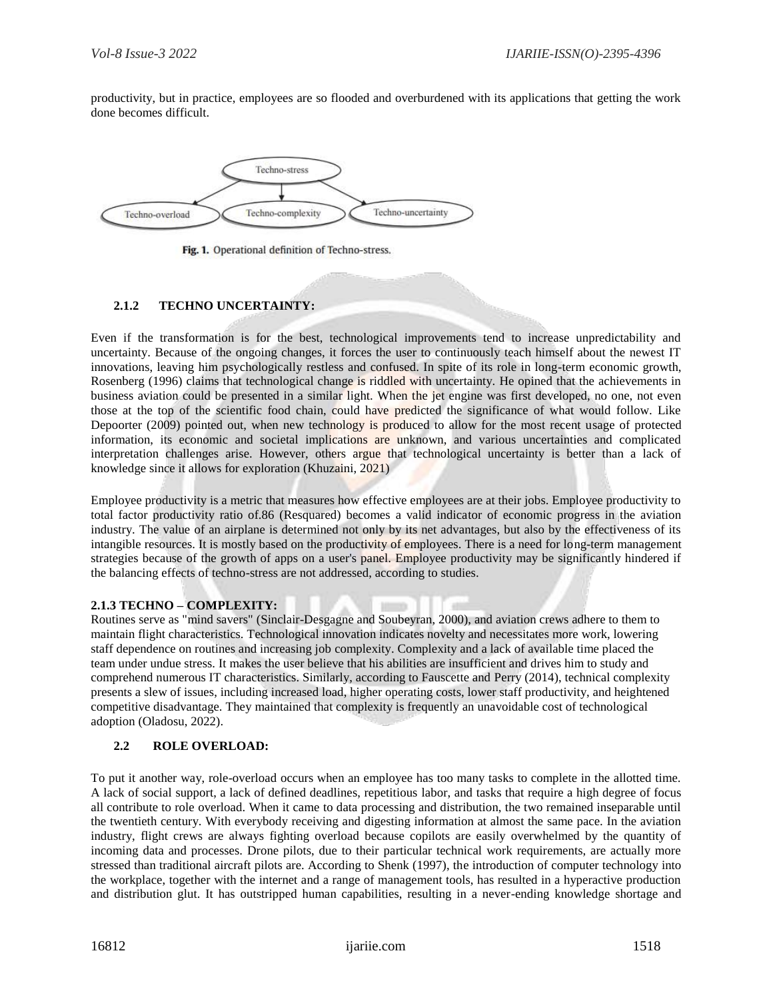productivity, but in practice, employees are so flooded and overburdened with its applications that getting the work done becomes difficult.



Fig. 1. Operational definition of Techno-stress.

## **2.1.2 TECHNO UNCERTAINTY:**

Even if the transformation is for the best, technological improvements tend to increase unpredictability and uncertainty. Because of the ongoing changes, it forces the user to continuously teach himself about the newest IT innovations, leaving him psychologically restless and confused. In spite of its role in long-term economic growth, Rosenberg (1996) claims that technological change is riddled with uncertainty. He opined that the achievements in business aviation could be presented in a similar light. When the jet engine was first developed, no one, not even those at the top of the scientific food chain, could have predicted the significance of what would follow. Like Depoorter (2009) pointed out, when new technology is produced to allow for the most recent usage of protected information, its economic and societal implications are unknown, and various uncertainties and complicated interpretation challenges arise. However, others argue that technological uncertainty is better than a lack of knowledge since it allows for exploration (Khuzaini, 2021)

Employee productivity is a metric that measures how effective employees are at their jobs. Employee productivity to total factor productivity ratio of.86 (Resquared) becomes a valid indicator of economic progress in the aviation industry. The value of an airplane is determined not only by its net advantages, but also by the effectiveness of its intangible resources. It is mostly based on the productivity of employees. There is a need for long-term management strategies because of the growth of apps on a user's panel. Employee productivity may be significantly hindered if the balancing effects of techno-stress are not addressed, according to studies.

### **2.1.3 TECHNO – COMPLEXITY:**

Routines serve as "mind savers" (Sinclair-Desgagne and Soubeyran, 2000), and aviation crews adhere to them to maintain flight characteristics. Technological innovation indicates novelty and necessitates more work, lowering staff dependence on routines and increasing job complexity. Complexity and a lack of available time placed the team under undue stress. It makes the user believe that his abilities are insufficient and drives him to study and comprehend numerous IT characteristics. Similarly, according to Fauscette and Perry (2014), technical complexity presents a slew of issues, including increased load, higher operating costs, lower staff productivity, and heightened competitive disadvantage. They maintained that complexity is frequently an unavoidable cost of technological adoption (Oladosu, 2022).

### **2.2 ROLE OVERLOAD:**

To put it another way, role-overload occurs when an employee has too many tasks to complete in the allotted time. A lack of social support, a lack of defined deadlines, repetitious labor, and tasks that require a high degree of focus all contribute to role overload. When it came to data processing and distribution, the two remained inseparable until the twentieth century. With everybody receiving and digesting information at almost the same pace. In the aviation industry, flight crews are always fighting overload because copilots are easily overwhelmed by the quantity of incoming data and processes. Drone pilots, due to their particular technical work requirements, are actually more stressed than traditional aircraft pilots are. According to Shenk (1997), the introduction of computer technology into the workplace, together with the internet and a range of management tools, has resulted in a hyperactive production and distribution glut. It has outstripped human capabilities, resulting in a never-ending knowledge shortage and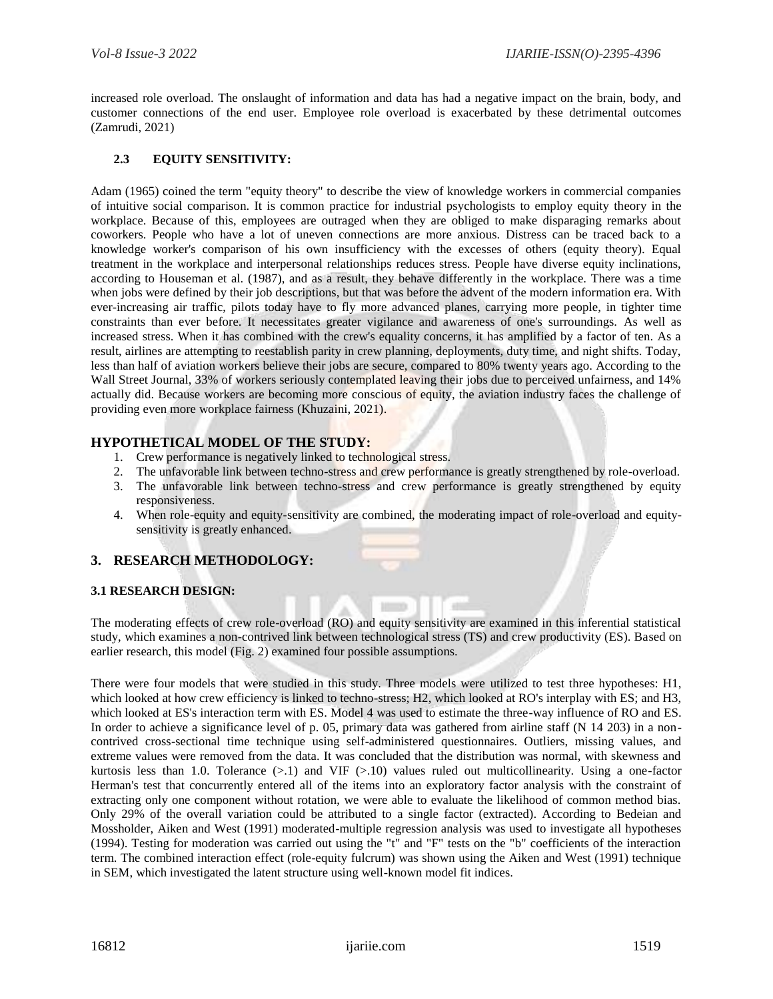increased role overload. The onslaught of information and data has had a negative impact on the brain, body, and customer connections of the end user. Employee role overload is exacerbated by these detrimental outcomes (Zamrudi, 2021)

# **2.3 EQUITY SENSITIVITY:**

Adam (1965) coined the term "equity theory" to describe the view of knowledge workers in commercial companies of intuitive social comparison. It is common practice for industrial psychologists to employ equity theory in the workplace. Because of this, employees are outraged when they are obliged to make disparaging remarks about coworkers. People who have a lot of uneven connections are more anxious. Distress can be traced back to a knowledge worker's comparison of his own insufficiency with the excesses of others (equity theory). Equal treatment in the workplace and interpersonal relationships reduces stress. People have diverse equity inclinations, according to Houseman et al. (1987), and as a result, they behave differently in the workplace. There was a time when jobs were defined by their job descriptions, but that was before the advent of the modern information era. With ever-increasing air traffic, pilots today have to fly more advanced planes, carrying more people, in tighter time constraints than ever before. It necessitates greater vigilance and awareness of one's surroundings. As well as increased stress. When it has combined with the crew's equality concerns, it has amplified by a factor of ten. As a result, airlines are attempting to reestablish parity in crew planning, deployments, duty time, and night shifts. Today, less than half of aviation workers believe their jobs are secure, compared to 80% twenty years ago. According to the Wall Street Journal, 33% of workers seriously contemplated leaving their jobs due to perceived unfairness, and 14% actually did. Because workers are becoming more conscious of equity, the aviation industry faces the challenge of providing even more workplace fairness (Khuzaini, 2021).

## **HYPOTHETICAL MODEL OF THE STUDY:**

- 1. Crew performance is negatively linked to technological stress.
- 2. The unfavorable link between techno-stress and crew performance is greatly strengthened by role-overload.
- 3. The unfavorable link between techno-stress and crew performance is greatly strengthened by equity responsiveness.
- 4. When role-equity and equity-sensitivity are combined, the moderating impact of role-overload and equitysensitivity is greatly enhanced.

## **3. RESEARCH METHODOLOGY:**

### **3.1 RESEARCH DESIGN:**

The moderating effects of crew role-overload (RO) and equity sensitivity are examined in this inferential statistical study, which examines a non-contrived link between technological stress (TS) and crew productivity (ES). Based on earlier research, this model (Fig. 2) examined four possible assumptions.

There were four models that were studied in this study. Three models were utilized to test three hypotheses: H1, which looked at how crew efficiency is linked to techno-stress; H2, which looked at RO's interplay with ES; and H3, which looked at ES's interaction term with ES. Model 4 was used to estimate the three-way influence of RO and ES. In order to achieve a significance level of p. 05, primary data was gathered from airline staff (N 14 203) in a noncontrived cross-sectional time technique using self-administered questionnaires. Outliers, missing values, and extreme values were removed from the data. It was concluded that the distribution was normal, with skewness and kurtosis less than 1.0. Tolerance (>.1) and VIF (>.10) values ruled out multicollinearity. Using a one-factor Herman's test that concurrently entered all of the items into an exploratory factor analysis with the constraint of extracting only one component without rotation, we were able to evaluate the likelihood of common method bias. Only 29% of the overall variation could be attributed to a single factor (extracted). According to Bedeian and Mossholder, Aiken and West (1991) moderated-multiple regression analysis was used to investigate all hypotheses (1994). Testing for moderation was carried out using the "t" and "F" tests on the "b" coefficients of the interaction term. The combined interaction effect (role-equity fulcrum) was shown using the Aiken and West (1991) technique in SEM, which investigated the latent structure using well-known model fit indices.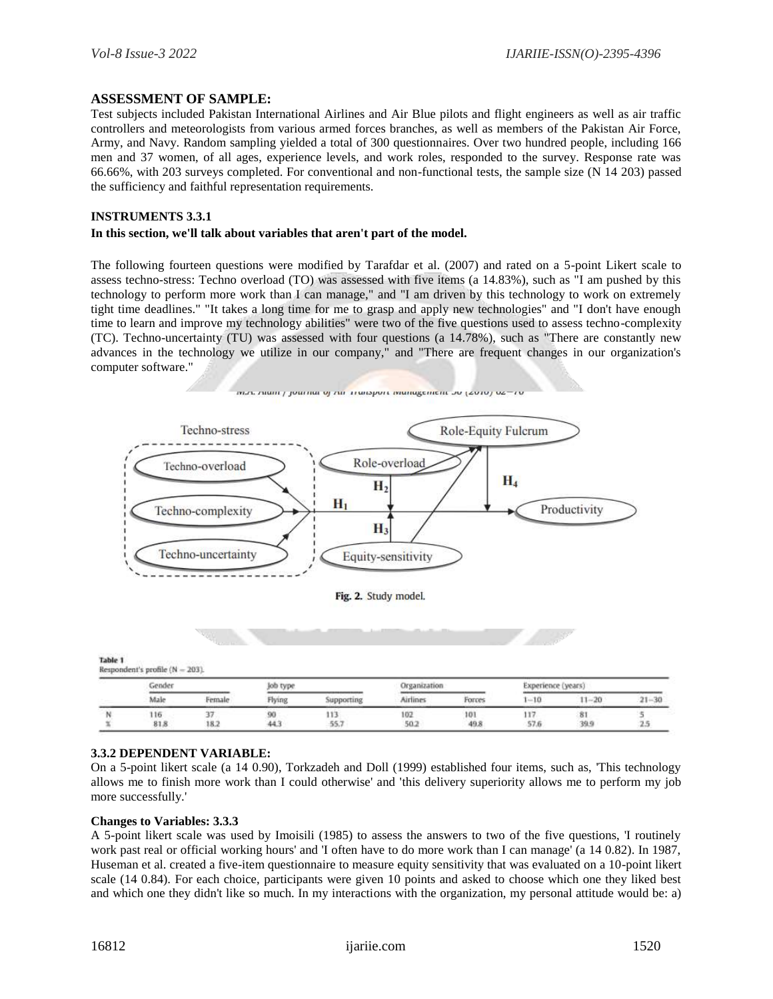## **ASSESSMENT OF SAMPLE:**

Test subjects included Pakistan International Airlines and Air Blue pilots and flight engineers as well as air traffic controllers and meteorologists from various armed forces branches, as well as members of the Pakistan Air Force, Army, and Navy. Random sampling yielded a total of 300 questionnaires. Over two hundred people, including 166 men and 37 women, of all ages, experience levels, and work roles, responded to the survey. Response rate was 66.66%, with 203 surveys completed. For conventional and non-functional tests, the sample size (N 14 203) passed the sufficiency and faithful representation requirements.

#### **INSTRUMENTS 3.3.1**

#### **In this section, we'll talk about variables that aren't part of the model.**

The following fourteen questions were modified by Tarafdar et al. (2007) and rated on a 5-point Likert scale to assess techno-stress: Techno overload (TO) was assessed with five items (a 14.83%), such as "I am pushed by this technology to perform more work than I can manage," and "I am driven by this technology to work on extremely tight time deadlines." "It takes a long time for me to grasp and apply new technologies" and "I don't have enough time to learn and improve my technology abilities" were two of the five questions used to assess techno-complexity (TC). Techno-uncertainty (TU) was assessed with four questions (a 14.78%), such as "There are constantly new advances in the technology we utilize in our company," and "There are frequent changes in our organization's computer software."



| Table 1                          |  |
|----------------------------------|--|
| Respondent's profile $(N - 203)$ |  |

| Gender |        | job type |            | Organization |        | Experience (years) |           |           |
|--------|--------|----------|------------|--------------|--------|--------------------|-----------|-----------|
| Male   | Female | Flying   | Supporting | Airliner     | Forces | $-10$              | $11 - 20$ | $21 - 30$ |
| 116    | - -    | 90       | 113        | 102          | 101    | П                  | 81        |           |
| 81.8   | 18.2   | 44.      | 55.7       | 50.2         | 49.8   | 57.6               | 39.9      | With the  |

### **3.3.2 DEPENDENT VARIABLE:**

On a 5-point likert scale (a 14 0.90), Torkzadeh and Doll (1999) established four items, such as, 'This technology allows me to finish more work than I could otherwise' and 'this delivery superiority allows me to perform my job more successfully.'

#### **Changes to Variables: 3.3.3**

A 5-point likert scale was used by Imoisili (1985) to assess the answers to two of the five questions, 'I routinely work past real or official working hours' and 'I often have to do more work than I can manage' (a 14 0.82). In 1987, Huseman et al. created a five-item questionnaire to measure equity sensitivity that was evaluated on a 10-point likert scale (14 0.84). For each choice, participants were given 10 points and asked to choose which one they liked best and which one they didn't like so much. In my interactions with the organization, my personal attitude would be: a)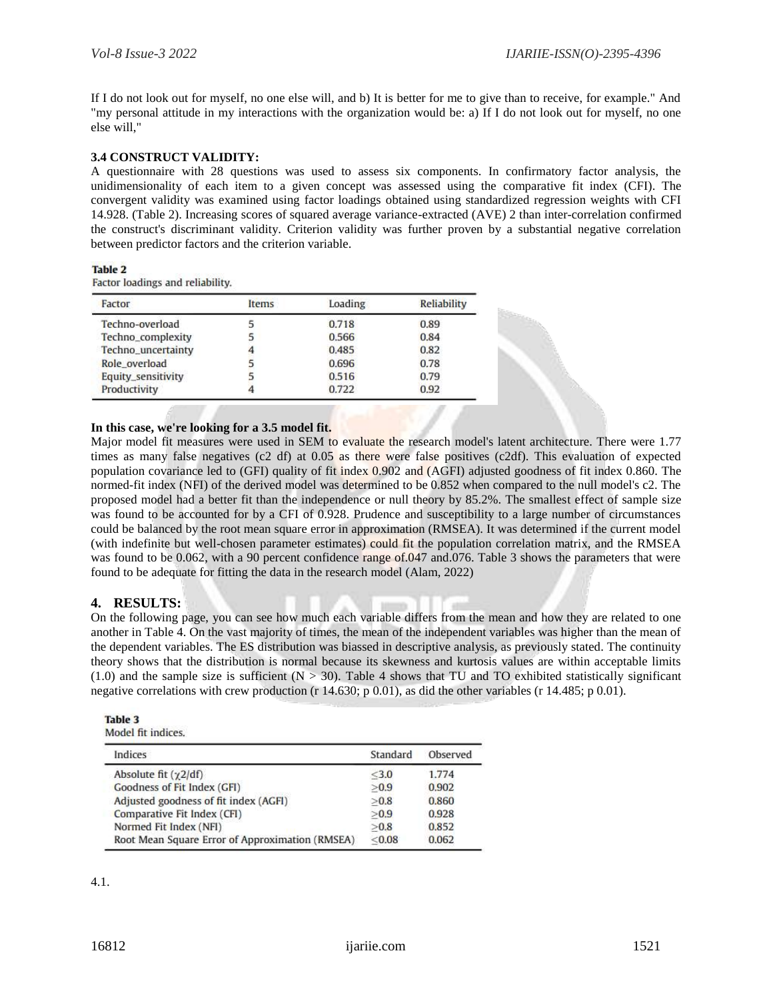If I do not look out for myself, no one else will, and b) It is better for me to give than to receive, for example." And "my personal attitude in my interactions with the organization would be: a) If I do not look out for myself, no one else will,"

## **3.4 CONSTRUCT VALIDITY:**

A questionnaire with 28 questions was used to assess six components. In confirmatory factor analysis, the unidimensionality of each item to a given concept was assessed using the comparative fit index (CFI). The convergent validity was examined using factor loadings obtained using standardized regression weights with CFI 14.928. (Table 2). Increasing scores of squared average variance-extracted (AVE) 2 than inter-correlation confirmed the construct's discriminant validity. Criterion validity was further proven by a substantial negative correlation between predictor factors and the criterion variable.

#### Table 2

Factor loadings and reliability.

| Factor             | Items | Loading | Reliability |  |
|--------------------|-------|---------|-------------|--|
| Techno-overload    |       | 0.718   | 0.89        |  |
| Techno_complexity  |       | 0.566   | 0.84        |  |
| Techno_uncertainty |       | 0.485   | 0.82        |  |
| Role overload      |       | 0.696   | 0.78        |  |
| Equity_sensitivity |       | 0.516   | 0.79        |  |
| Productivity       |       | 0.722   | 0.92        |  |

#### **In this case, we're looking for a 3.5 model fit.**

Major model fit measures were used in SEM to evaluate the research model's latent architecture. There were 1.77 times as many false negatives (c2 df) at 0.05 as there were false positives (c2df). This evaluation of expected population covariance led to (GFI) quality of fit index 0.902 and (AGFI) adjusted goodness of fit index 0.860. The normed-fit index (NFI) of the derived model was determined to be 0.852 when compared to the null model's c2. The proposed model had a better fit than the independence or null theory by 85.2%. The smallest effect of sample size was found to be accounted for by a CFI of 0.928. Prudence and susceptibility to a large number of circumstances could be balanced by the root mean square error in approximation (RMSEA). It was determined if the current model (with indefinite but well-chosen parameter estimates) could fit the population correlation matrix, and the RMSEA was found to be 0.062, with a 90 percent confidence range of 0.047 and 0.076. Table 3 shows the parameters that were found to be adequate for fitting the data in the research model (Alam, 2022)

## **4. RESULTS:**

On the following page, you can see how much each variable differs from the mean and how they are related to one another in Table 4. On the vast majority of times, the mean of the independent variables was higher than the mean of the dependent variables. The ES distribution was biassed in descriptive analysis, as previously stated. The continuity theory shows that the distribution is normal because its skewness and kurtosis values are within acceptable limits  $(1.0)$  and the sample size is sufficient  $(N > 30)$ . Table 4 shows that TU and TO exhibited statistically significant negative correlations with crew production (r 14.630; p 0.01), as did the other variables (r 14.485; p 0.01).

| lable | ٠<br>٠<br>ı |  |  |  |  |
|-------|-------------|--|--|--|--|
|-------|-------------|--|--|--|--|

Model fit indices.

| Indices                                         | Standard | Observed |
|-------------------------------------------------|----------|----------|
| Absolute fit $(\gamma 2/df)$                    | $<$ 3.0  | 1.774    |
| Goodness of Fit Index (GFI)                     | >0.9     | 0.902    |
| Adjusted goodness of fit index (AGFI)           | >0.8     | 0.860    |
| Comparative Fit Index (CFI)                     | >0.9     | 0.928    |
| Normed Fit Index (NFI)                          | >0.8     | 0.852    |
| Root Mean Square Error of Approximation (RMSEA) | < 0.08   | 0.062    |

4.1.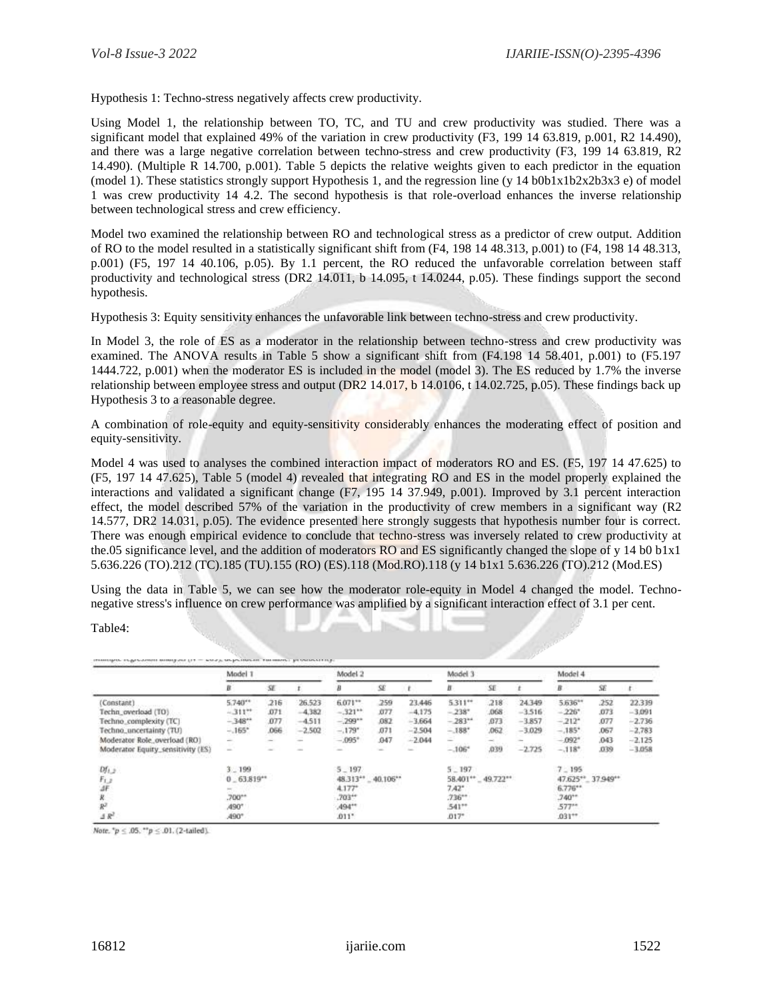Hypothesis 1: Techno-stress negatively affects crew productivity.

Using Model 1, the relationship between TO, TC, and TU and crew productivity was studied. There was a significant model that explained 49% of the variation in crew productivity (F3, 199 14 63.819, p.001, R2 14.490), and there was a large negative correlation between techno-stress and crew productivity (F3, 199 14 63.819, R2 14.490). (Multiple R 14.700, p.001). Table 5 depicts the relative weights given to each predictor in the equation (model 1). These statistics strongly support Hypothesis 1, and the regression line (y  $14 \text{ b}0b1x1b2x2b3x3 e$ ) of model 1 was crew productivity 14 4.2. The second hypothesis is that role-overload enhances the inverse relationship between technological stress and crew efficiency.

Model two examined the relationship between RO and technological stress as a predictor of crew output. Addition of RO to the model resulted in a statistically significant shift from (F4, 198 14 48.313, p.001) to (F4, 198 14 48.313, p.001) (F5, 197 14 40.106, p.05). By 1.1 percent, the RO reduced the unfavorable correlation between staff productivity and technological stress (DR2 14.011, b 14.095, t 14.0244, p.05). These findings support the second hypothesis.

Hypothesis 3: Equity sensitivity enhances the unfavorable link between techno-stress and crew productivity.

In Model 3, the role of ES as a moderator in the relationship between techno-stress and crew productivity was examined. The ANOVA results in Table 5 show a significant shift from (F4.198 14 58.401, p.001) to (F5.197 1444.722, p.001) when the moderator ES is included in the model (model 3). The ES reduced by 1.7% the inverse relationship between employee stress and output (DR2 14.017, b 14.0106, t 14.02.725, p.05). These findings back up Hypothesis 3 to a reasonable degree.

A combination of role-equity and equity-sensitivity considerably enhances the moderating effect of position and equity-sensitivity.

Model 4 was used to analyses the combined interaction impact of moderators RO and ES. (F5, 197 14 47.625) to (F5, 197 14 47.625), Table 5 (model 4) revealed that integrating RO and ES in the model properly explained the interactions and validated a significant change (F7, 195 14 37.949, p.001). Improved by 3.1 percent interaction effect, the model described 57% of the variation in the productivity of crew members in a significant way (R2 14.577, DR2 14.031, p.05). The evidence presented here strongly suggests that hypothesis number four is correct. There was enough empirical evidence to conclude that techno-stress was inversely related to crew productivity at the.05 significance level, and the addition of moderators RO and ES significantly changed the slope of y 14 b0 b1x1 5.636.226 (TO).212 (TC).185 (TU).155 (RO) (ES).118 (Mod.RO).118 (y 14 b1x1 5.636.226 (TO).212 (Mod.ES)

Using the data in Table 5, we can see how the moderator role-equity in Model 4 changed the model. Technonegative stress's influence on crew performance was amplified by a significant interaction effect of 3.1 per cent.

#### Table4:

|                                   | Model 1        |      |                     | Model 2  |                     | Model 3  |                   |              | Model 4  |                     |            |          |
|-----------------------------------|----------------|------|---------------------|----------|---------------------|----------|-------------------|--------------|----------|---------------------|------------|----------|
|                                   |                | SE   |                     |          | SE                  |          | В                 | SE           |          | в                   | SE         |          |
| (Constant)                        | 5.740**        | 216  | 26,523              | 6.071**  | 259                 | 23.446   | 5.311"            | 218          | 24.349   | 5.636**             | 252        | 22.339   |
| Techn_overload (TO)               | $-311**$       | .071 | $-4.382$            | $-321**$ | <b>JJ77</b>         | $-4.175$ | $-238"$           | .068         | $-3.516$ | $-226$ <sup>*</sup> | .073       | $-3.091$ |
| Techno_complexity (TC)            | $-348^{11}$    | .077 | $-4.511$            | $-299"$  | ,082                | $-3.664$ | $-283**$          | 873          | $-3.857$ | $-212$ <sup>*</sup> | .077       | $-2.736$ |
| Techno, uncertainty (TU)          | $-165"$        | .066 | $-2.502$            | $-.179"$ | ,071                | $-2.504$ | $-188"$           | 062          | $-3.029$ | $-.185"$            | .067       | $-2.783$ |
| Moderator Role, overload (RO).    | -              | -    |                     | $-.095*$ | .947                | $-2.044$ | ÷                 |              |          | $-092"$             | 043        | $-2.125$ |
| Moderator Equity_sensitivity (ES) | $\sim$         |      |                     |          | $\equiv$            | u.       | $-106"$<br>-2004  | ,039<br>7379 | $-2.725$ | $-.118*$            | .039<br>-- | $-3.058$ |
| $Df_{1,2}$                        | $3 - 199$      |      | $5 - 197$           |          | $5 - 197$           |          | $7 - 195$         |              |          |                     |            |          |
|                                   | $0 - 63.819**$ |      | 48.313** _ 40.106** |          | 58.401** _ 49.722** |          | 47.625**_37.949** |              |          |                     |            |          |
| Fi.)<br>dF                        |                |      | 4.177*              |          | $7.42*$             |          |                   | 6.776**      |          |                     |            |          |
|                                   | .700**         |      | $.703**$            |          | $736**$             |          |                   | $740**$      |          |                     |            |          |
| $R^2$                             | 490*           |      | $494**$             |          | 541**               |          |                   | $577**$      |          |                     |            |          |
| $\Delta R^2$                      | A90°           |      |                     | .011"    |                     | $.017*$  |                   |              | $.031**$ |                     |            |          |

Note,  $^4p \leq .05$ ,  $^{44}p \leq .01$ , (2-tailed).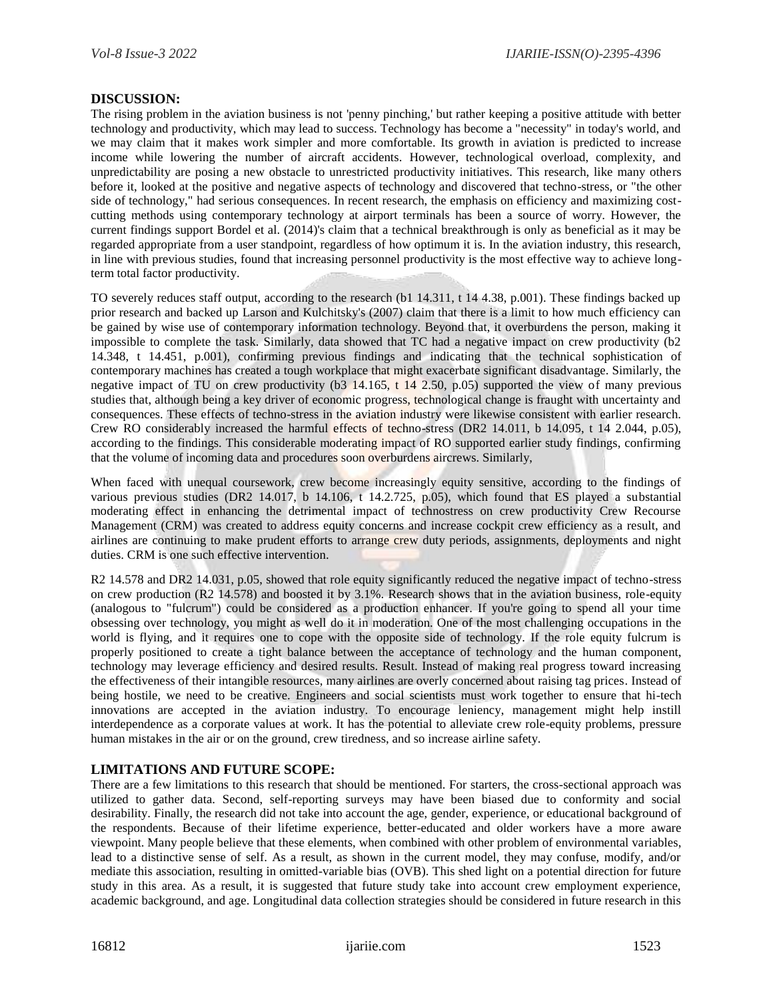## **DISCUSSION:**

The rising problem in the aviation business is not 'penny pinching,' but rather keeping a positive attitude with better technology and productivity, which may lead to success. Technology has become a "necessity" in today's world, and we may claim that it makes work simpler and more comfortable. Its growth in aviation is predicted to increase income while lowering the number of aircraft accidents. However, technological overload, complexity, and unpredictability are posing a new obstacle to unrestricted productivity initiatives. This research, like many others before it, looked at the positive and negative aspects of technology and discovered that techno-stress, or "the other side of technology," had serious consequences. In recent research, the emphasis on efficiency and maximizing costcutting methods using contemporary technology at airport terminals has been a source of worry. However, the current findings support Bordel et al. (2014)'s claim that a technical breakthrough is only as beneficial as it may be regarded appropriate from a user standpoint, regardless of how optimum it is. In the aviation industry, this research, in line with previous studies, found that increasing personnel productivity is the most effective way to achieve longterm total factor productivity.

TO severely reduces staff output, according to the research (b1 14.311, t 14 4.38, p.001). These findings backed up prior research and backed up Larson and Kulchitsky's (2007) claim that there is a limit to how much efficiency can be gained by wise use of contemporary information technology. Beyond that, it overburdens the person, making it impossible to complete the task. Similarly, data showed that TC had a negative impact on crew productivity (b2 14.348, t 14.451, p.001), confirming previous findings and indicating that the technical sophistication of contemporary machines has created a tough workplace that might exacerbate significant disadvantage. Similarly, the negative impact of TU on crew productivity (b3 14.165,  $t$  14 2.50, p.05) supported the view of many previous studies that, although being a key driver of economic progress, technological change is fraught with uncertainty and consequences. These effects of techno-stress in the aviation industry were likewise consistent with earlier research. Crew RO considerably increased the harmful effects of techno-stress (DR2 14.011, b 14.095, t 14 2.044, p.05), according to the findings. This considerable moderating impact of RO supported earlier study findings, confirming that the volume of incoming data and procedures soon overburdens aircrews. Similarly,

When faced with unequal coursework, crew become increasingly equity sensitive, according to the findings of various previous studies (DR2 14.017, b 14.106, t 14.2.725, p.05), which found that ES played a substantial moderating effect in enhancing the detrimental impact of technostress on crew productivity Crew Recourse Management (CRM) was created to address equity concerns and increase cockpit crew efficiency as a result, and airlines are continuing to make prudent efforts to arrange crew duty periods, assignments, deployments and night duties. CRM is one such effective intervention.

R2 14.578 and DR2 14.031, p.05, showed that role equity significantly reduced the negative impact of techno-stress on crew production (R2 14.578) and boosted it by 3.1%. Research shows that in the aviation business, role-equity (analogous to "fulcrum") could be considered as a production enhancer. If you're going to spend all your time obsessing over technology, you might as well do it in moderation. One of the most challenging occupations in the world is flying, and it requires one to cope with the opposite side of technology. If the role equity fulcrum is properly positioned to create a tight balance between the acceptance of technology and the human component, technology may leverage efficiency and desired results. Result. Instead of making real progress toward increasing the effectiveness of their intangible resources, many airlines are overly concerned about raising tag prices. Instead of being hostile, we need to be creative. Engineers and social scientists must work together to ensure that hi-tech innovations are accepted in the aviation industry. To encourage leniency, management might help instill interdependence as a corporate values at work. It has the potential to alleviate crew role-equity problems, pressure human mistakes in the air or on the ground, crew tiredness, and so increase airline safety.

## **LIMITATIONS AND FUTURE SCOPE:**

There are a few limitations to this research that should be mentioned. For starters, the cross-sectional approach was utilized to gather data. Second, self-reporting surveys may have been biased due to conformity and social desirability. Finally, the research did not take into account the age, gender, experience, or educational background of the respondents. Because of their lifetime experience, better-educated and older workers have a more aware viewpoint. Many people believe that these elements, when combined with other problem of environmental variables, lead to a distinctive sense of self. As a result, as shown in the current model, they may confuse, modify, and/or mediate this association, resulting in omitted-variable bias (OVB). This shed light on a potential direction for future study in this area. As a result, it is suggested that future study take into account crew employment experience, academic background, and age. Longitudinal data collection strategies should be considered in future research in this